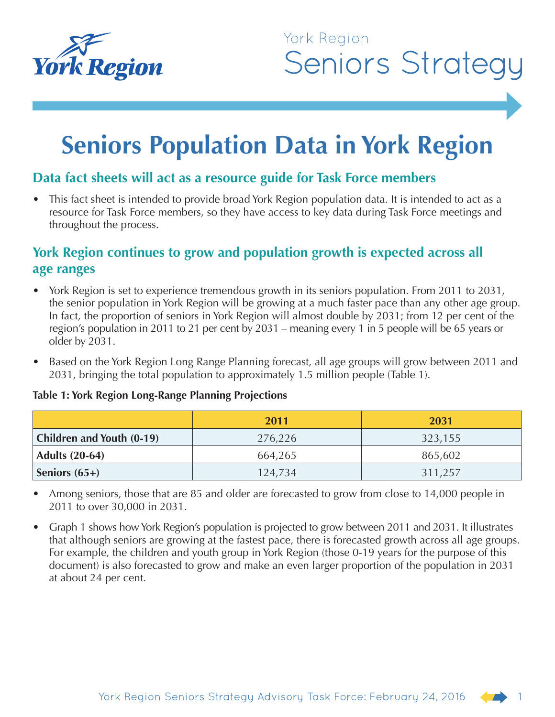

## York Region **Seniors Strategy**

# **Seniors Population Data in York Region**

## **Data fact sheets will act as a resource guide for Task Force members**

This fact sheet is intended to provide broad York Region population data. It is intended to act as a resource for Task Force members, so they have access to key data during Task Force meetings and throughout the process.

## **York Region continues to grow and population growth is expected across all age ranges**

- York Region is set to experience tremendous growth in its seniors population. From 2011 to 2031, the senior population in York Region will be growing at a much faster pace than any other age group. In fact, the proportion of seniors in York Region will almost double by 2031; from 12 per cent of the region's population in 2011 to 21 per cent by 2031 – meaning every 1 in 5 people will be 65 years or older by 2031.
- Based on the York Region Long Range Planning forecast, all age groups will grow between 2011 and 2031, bringing the total population to approximately 1.5 million people (Table 1).

|                           | 2011    | 2031    |  |
|---------------------------|---------|---------|--|
| Children and Youth (0-19) | 276,226 | 323,155 |  |
| <b>Adults (20-64)</b>     | 664,265 | 865,602 |  |
| Seniors $(65+)$           | 124,734 | 311,257 |  |

#### **Table 1: York Region Long-Range Planning Projections**

- Among seniors, those that are 85 and older are forecasted to grow from close to 14,000 people in 2011 to over 30,000 in 2031.
- Graph 1 shows how York Region's population is projected to grow between 2011 and 2031. It illustrates that although seniors are growing at the fastest pace, there is forecasted growth across all age groups. For example, the children and youth group in York Region (those 0-19 years for the purpose of this document) is also forecasted to grow and make an even larger proportion of the population in 2031 at about 24 per cent.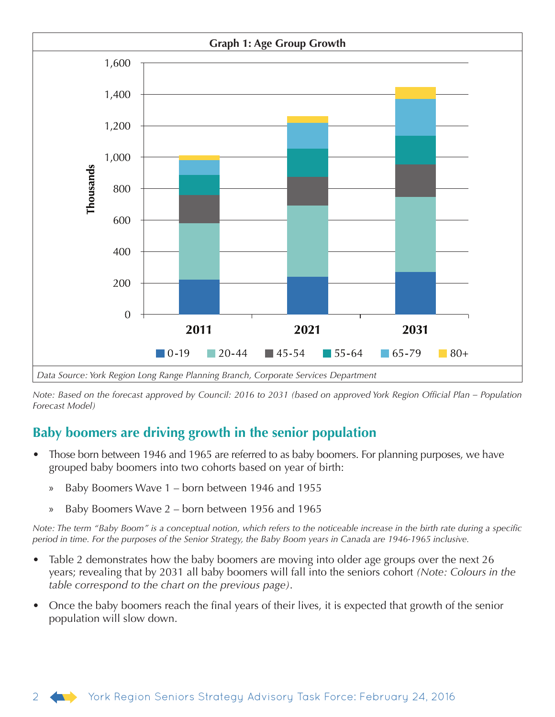

*Note: Based on the forecast approved by Council: 2016 to 2031 (based on approved York Region Official Plan – Population Forecast Model)*

## **Baby boomers are driving growth in the senior population**

- Those born between 1946 and 1965 are referred to as baby boomers. For planning purposes, we have grouped baby boomers into two cohorts based on year of birth:
	- » Baby Boomers Wave 1 born between 1946 and 1955
	- » Baby Boomers Wave 2 born between 1956 and 1965

*Note: The term "Baby Boom" is a conceptual notion, which refers to the noticeable increase in the birth rate during a specific period in time. For the purposes of the Senior Strategy, the Baby Boom years in Canada are 1946-1965 inclusive.*

- Table 2 demonstrates how the baby boomers are moving into older age groups over the next 26 years; revealing that by 2031 all baby boomers will fall into the seniors cohort *(Note: Colours in the table correspond to the chart on the previous page)*.
- Once the baby boomers reach the final years of their lives, it is expected that growth of the senior population will slow down.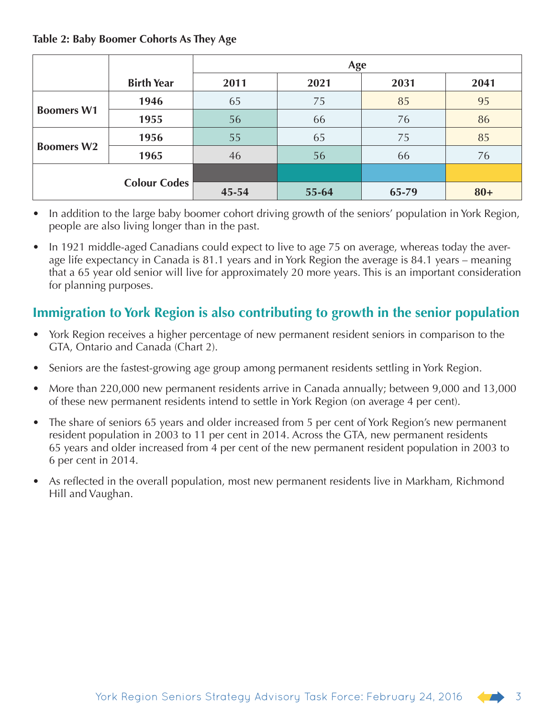#### **Table 2: Baby Boomer Cohorts As They Age**

|                   |                     | Age   |       |       |        |  |
|-------------------|---------------------|-------|-------|-------|--------|--|
|                   | <b>Birth Year</b>   | 2011  | 2021  | 2031  | 2041   |  |
| <b>Boomers W1</b> | 1946                | 65    | 75    | 85    | 95     |  |
|                   | 1955                | 56    | 66    | 76    | 86     |  |
| <b>Boomers W2</b> | 1956                | 55    | 65    | 75    | 85     |  |
|                   | 1965                | 46    | 56    | 66    | 76     |  |
|                   |                     |       |       |       |        |  |
|                   | <b>Colour Codes</b> | 45-54 | 55-64 | 65-79 | $80 +$ |  |

- In addition to the large baby boomer cohort driving growth of the seniors' population in York Region, people are also living longer than in the past.
- In 1921 middle-aged Canadians could expect to live to age 75 on average, whereas today the average life expectancy in Canada is 81.1 years and in York Region the average is 84.1 years – meaning that a 65 year old senior will live for approximately 20 more years. This is an important consideration for planning purposes.

## **Immigration to York Region is also contributing to growth in the senior population**

- York Region receives a higher percentage of new permanent resident seniors in comparison to the GTA, Ontario and Canada (Chart 2).
- Seniors are the fastest-growing age group among permanent residents settling in York Region.
- More than 220,000 new permanent residents arrive in Canada annually; between 9,000 and 13,000 of these new permanent residents intend to settle in York Region (on average 4 per cent).
- The share of seniors 65 years and older increased from 5 per cent of York Region's new permanent resident population in 2003 to 11 per cent in 2014. Across the GTA, new permanent residents 65 years and older increased from 4 per cent of the new permanent resident population in 2003 to 6 per cent in 2014.
- As reflected in the overall population, most new permanent residents live in Markham, Richmond Hill and Vaughan.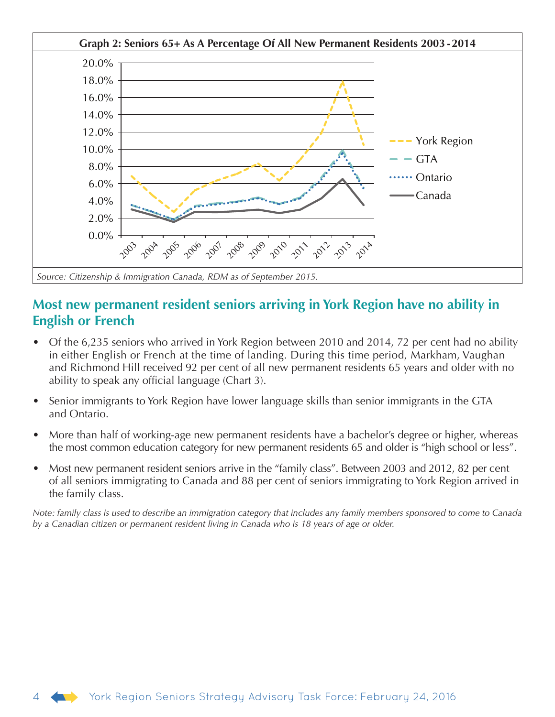

### **Most new permanent resident seniors arriving in York Region have no ability in English or French**

- Of the 6,235 seniors who arrived in York Region between 2010 and 2014, 72 per cent had no ability in either English or French at the time of landing. During this time period, Markham, Vaughan and Richmond Hill received 92 per cent of all new permanent residents 65 years and older with no ability to speak any official language (Chart 3).
- Senior immigrants to York Region have lower language skills than senior immigrants in the GTA and Ontario.
- More than half of working-age new permanent residents have a bachelor's degree or higher, whereas the most common education category for new permanent residents 65 and older is "high school or less".
- Most new permanent resident seniors arrive in the "family class". Between 2003 and 2012, 82 per cent of all seniors immigrating to Canada and 88 per cent of seniors immigrating to York Region arrived in the family class.

*Note: family class is used to describe an immigration category that includes any family members sponsored to come to Canada by a Canadian citizen or permanent resident living in Canada who is 18 years of age or older.*